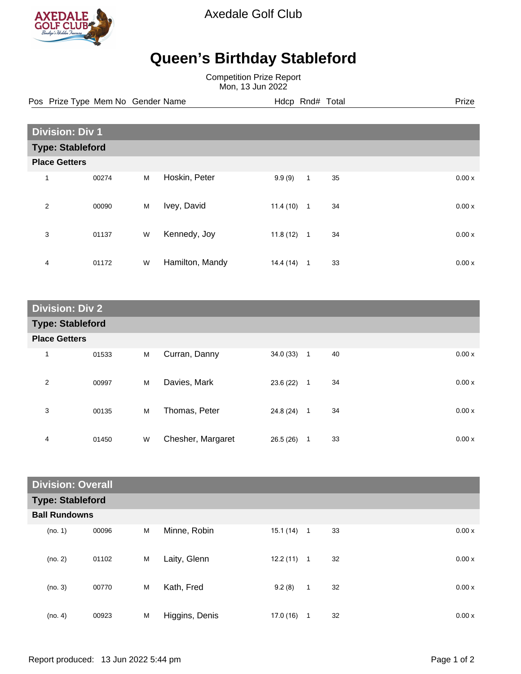

Axedale Golf Club

## **Queen's Birthday Stableford**

Competition Prize Report Mon, 13 Jun 2022

Pos Prize Type Mem No Gender Name **Hdcp Rnd# Total** Prize Prize

| <b>Division: Div 1</b>  |                      |   |                 |           |                |    |  |       |  |
|-------------------------|----------------------|---|-----------------|-----------|----------------|----|--|-------|--|
| <b>Type: Stableford</b> |                      |   |                 |           |                |    |  |       |  |
|                         | <b>Place Getters</b> |   |                 |           |                |    |  |       |  |
| 1                       | 00274                | M | Hoskin, Peter   | 9.9(9)    | $\mathbf{1}$   | 35 |  | 0.00x |  |
| $\overline{2}$          | 00090                | M | Ivey, David     | 11.4(10)  | $\mathbf{1}$   | 34 |  | 0.00x |  |
| 3                       | 01137                | W | Kennedy, Joy    | 11.8(12)  | $\overline{1}$ | 34 |  | 0.00x |  |
| 4                       | 01172                | W | Hamilton, Mandy | 14.4 (14) | 1              | 33 |  | 0.00x |  |

| <b>Division: Div 2</b>  |       |   |                   |              |                  |    |       |  |
|-------------------------|-------|---|-------------------|--------------|------------------|----|-------|--|
| <b>Type: Stableford</b> |       |   |                   |              |                  |    |       |  |
| <b>Place Getters</b>    |       |   |                   |              |                  |    |       |  |
| 1                       | 01533 | M | Curran, Danny     | $34.0(33)$ 1 |                  | 40 | 0.00x |  |
| 2                       | 00997 | M | Davies, Mark      | 23.6 (22)    | $\overline{1}$   | 34 | 0.00x |  |
| 3                       | 00135 | M | Thomas, Peter     | 24.8 (24)    | $\blacksquare$ 1 | 34 | 0.00x |  |
| 4                       | 01450 | W | Chesher, Margaret | 26.5(26)     | 1                | 33 | 0.00x |  |

| <b>Division: Overall</b> |       |   |                |           |                |    |       |  |
|--------------------------|-------|---|----------------|-----------|----------------|----|-------|--|
| <b>Type: Stableford</b>  |       |   |                |           |                |    |       |  |
| <b>Ball Rundowns</b>     |       |   |                |           |                |    |       |  |
| (no. 1)                  | 00096 | M | Minne, Robin   | 15.1 (14) | $\overline{1}$ | 33 | 0.00x |  |
| (no. 2)                  | 01102 | M | Laity, Glenn   | 12.2(11)  | $\overline{1}$ | 32 | 0.00x |  |
| (no. 3)                  | 00770 | M | Kath, Fred     | 9.2(8)    | $\mathbf{1}$   | 32 | 0.00x |  |
| (no. 4)                  | 00923 | M | Higgins, Denis | 17.0(16)  | 1              | 32 | 0.00x |  |